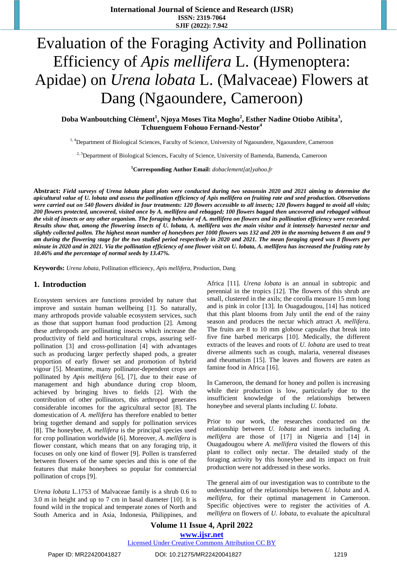**International Journal of Science and Research (IJSR) ISSN: 2319-7064 SJIF (2022): 7.942**

# Evaluation of the Foraging Activity and Pollination Efficiency of *Apis mellifera* L. (Hymenoptera: Apidae) on *Urena lobata* L. (Malvaceae) Flowers at Dang (Ngaoundere, Cameroon)

**Doba Wanboutching Clément<sup>1</sup> , Njoya Moses Tita Mogho<sup>2</sup> , Esther Nadine Otiobo Atibita<sup>3</sup> , Tchuenguem Fohouo Fernand-Nestor<sup>4</sup>**

<sup>1, 4</sup>Department of Biological Sciences, Faculty of Science, University of Ngaoundere, Ngaoundere, Cameroon

<sup>2, 3</sup>Department of Biological Sciences, Faculty of Science, University of Bamenda, Bamenda, Cameroon

**<sup>1</sup>Corresponding Author Email:** *[dobaclement\[at\]yahoo.fr](mailto:dobaclement@yahoo.fr)*

Abstract: Field surveys of Urena lobata plant plots were conducted during two seasonsin 2020 and 2021 aiming to determine the apicultural value of U. lobata and assess the pollination efficiency of Apis mellifera on fruiting rate and seed production. Observations were carried out on 540 flowers divided in four treatments: 120 flowers accessible to all insects; 120 flowers bagged to avoid all visits; 200 flowers protected, uncovered, visited once by A. mellifera and rebagged; 100 flowers bagged then uncovered and rebagged without the visit of insects or any other organism. The foraging behavior of A. mellifera on flowers and its pollination efficiency were recorded. Results show that, among the flowering insects of U. lobata, A. mellifera was the main visitor and it intensely harvested nectar and slightly collected pollen. The highest mean number of honeybees per 1000 flowers was 132 and 209 in the morning between 8 am and 9 am during the flowering stage for the two studied period respectively in 2020 and 2021. The mean foraging speed was 8 flowers per minute in 2020 and in 2021. Via the pollination efficiency of one flower visit on U. lobata, A. mellifera has increased the fruiting rate by *10.46% and the percentage of normal seeds by 13.47%.*

**Keywords:** *Urena lobata*, Pollination efficiency, *Apis mellifera*, Production, Dang

#### **1. Introduction**

Ecosystem services are functions provided by nature that improve and sustain human wellbeing [1]. So naturally, many arthropods provide valuable ecosystem services, such as those that support human food production [2]. Among these arthropods are pollinating insects which increase the productivity of field and horticultural crops, assuring selfpollination [3] and cross-pollination [4] with advantages such as producing larger perfectly shaped pods, a greater proportion of early flower set and promotion of hybrid vigour [5]. Meantime, many pollinator-dependent crops are pollinated by *Apis mellifera* [6], [7], due to their ease of management and high abundance during crop bloom, achieved by bringing hives to fields [2]. With the contribution of other pollinators, this arthropod generates considerable incomes for the agricultural sector [8]. The domestication of *A. mellifera* has therefore enabled to better bring together demand and supply for pollination services [8]. The honeybee, *A. mellifera* is the principal species used for crop pollination worldwide [6]. Moreover, *A. mellifera* is flower constant, which means that on any foraging trip, it focuses on only one kind of flower [9]. Pollen is transferred between flowers of the same species and this is one of the features that make honeybees so popular for commercial pollination of crops [9].

*Urena lobata* L.1753 of Malvaceae family is a shrub 0.6 to 3.0 m in height and up to 7 cm in basal diameter [10]. It is found wild in the tropical and temperate zones of North and South America and in Asia, Indonesia, Philippines, and Africa [11]. *Urena lobata* is an annual in subtropic and perennial in the tropics [12]. The flowers of this shrub are small, clustered in the axils; the corolla measure 15 mm long and is pink in color [13]. In Ouagadougou, [14] has noticed that this plant blooms from July until the end of the rainy season and produces the nectar which attract *A. mellifera*. The fruits are 8 to 10 mm globose capsules that break into five fine barbed mericarps [10]. Medically, the different extracts of the leaves and roots of *U. lobata* are used to treat diverse ailments such as cough, malaria, venereal diseases and rheumatism [15]. The leaves and flowers are eaten as famine food in Africa [16].

In Cameroon, the demand for honey and pollen is increasing while their production is low, particularly due to the insufficient knowledge of the relationships between honeybee and several plants including *U. lobata*.

Prior to our work, the researches conducted on the relationship between *U. lobata* and insects including *A. mellifera* are those of [17] in Nigeria and [14] in Ouagadougou where *A. mellifera* visited the flowers of this plant to collect only nectar. The detailed study of the foraging activity by this honeybee and its impact on fruit production were not addressed in these works.

The general aim of our investigation was to contribute to the understanding of the relationships between *U. lobata* and *A. mellifera*, for their optimal management in Cameroon. Specific objectives were to register the activities of *A. mellifera* on flowers of *U. lobata*, to evaluate the apicultural

**Volume 11 Issue 4, April 2022 www.ijsr.net** Licensed Under Creative Commons Attribution CC BY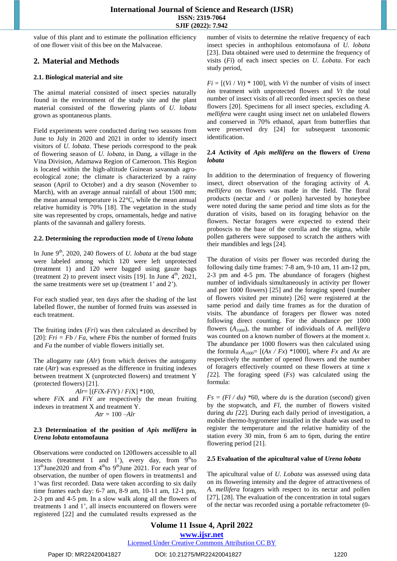value of this plant and to estimate the pollination efficiency of one flower visit of this bee on the Malvaceae.

# **2. Material and Methods**

#### **2.1. Biological material and site**

The animal material consisted of insect species naturally found in the environment of the study site and the plant material consisted of the flowering plants of *U. lobata* grown as spontaneous plants.

Field experiments were conducted during two seasons from June to July in 2020 and 2021 in order to identify insect visitors of *U. lobata*. These periods correspond to the peak of flowering season of *U. lobata*, in Dang, a village in the Vina Division, Adamawa Region of Cameroon. This Region is located within the high-altitude Guinean savannah agroecological zone; the climate is characterized by a rainy season (April to October) and a dry season (November to March), with an average annual rainfall of about 1500 mm; the mean annual temperature is 22°C, while the mean annual relative humidity is 70% [18]. The vegetation in the study site was represented by crops, ornamentals, hedge and native plants of the savannah and gallery forests.

#### **2.2. Determining the reproduction mode of** *Urena lobata*

In June 9<sup>th</sup>, 2020, 240 flowers of *U. lobata* at the bud stage were labeled among which 120 were left unprotected (treatment 1) and 120 were bagged using gauze bags (treatment 2) to prevent insect visits [19]. In June  $4<sup>th</sup>$ , 2021, the same treatments were set up (treatment 1' and 2').

For each studied year, ten days after the shading of the last labelled flower, the number of formed fruits was assessed in each treatment.

The fruiting index (*Fri*) was then calculated as described by [20]:  $Fri = Fb / Fa$ , where *Fbis* the number of formed fruits and *Fa* the number of viable flowers initially set.

The allogamy rate (*Alr*) from which derives the autogamy rate (*Atr*) was expressed as the difference in fruiting indexes between treatment X (unprotected flowers) and treatment Y (protected flowers) [21].

*Alr*= [(*Fi*X-*Fi*Y) / *Fi*X] \*100, where *Fi*X and *Fi*Y are respectively the mean fruiting indexes in treatment X and treatment Y.  $Art = 100 - Alr$ 

#### **2.3 Determination of the position of** *Apis mellifera* **in** *Urena lobata* **entomofauna**

Observations were conducted on 120flowers accessible to all insects (treatment 1 and 1'), every day, from  $9<sup>th</sup>$ to  $13<sup>th</sup>$  June 2020 and from  $4<sup>th</sup>$  to  $9<sup>th</sup>$  June 2021. For each year of observation, the number of open flowers in treatments1 and 1'was first recorded. Data were taken according to six daily time frames each day: 6-7 am, 8-9 am, 10-11 am, 12-1 pm, 2-3 pm and 4-5 pm. In a slow walk along all the flowers of treatments 1 and 1', all insects encountered on flowers were registered [22] and the cumulated results expressed as the number of visits to determine the relative frequency of each insect species in anthophilous entomofauna of *U. lobata* [23]. Data obtained were used to determine the frequency of visits (*Fi*) of each insect species on *U. Lobata*. For each study period,

 $Fi = [(Vi / Vt) * 100]$ , with *Vi* the number of visits of insect *i*on treatment with unprotected flowers and *Vt* the total number of insect visits of all recorded insect species on these flowers [20]. Specimens for all insect species, excluding *A. mellifera* were caught using insect net on unlabeled flowers and conserved in 70% ethanol, apart from butterflies that were preserved dry [24] for subsequent taxonomic identification.

#### **2.4 Activity of** *Apis mellifera* **on the flowers of** *Urena lobata*

In addition to the determination of frequency of flowering insect, direct observation of the foraging activity of *A. mellifera* on flowers was made in the field. The floral products (nectar and / or pollen) harvested by honeybee were noted during the same period and time slots as for the duration of visits, based on its foraging behavior on the flowers. Nectar foragers were expected to extend their proboscis to the base of the corolla and the stigma, while pollen gatherers were supposed to scratch the anthers with their mandibles and legs [24].

The duration of visits per flower was recorded during the following daily time frames: 7-8 am, 9-10 am, 11 am-12 pm, 2-3 pm and 4-5 pm. The abundance of foragers (highest number of individuals simultaneously in activity per flower and per 1000 flowers) [25] and the foraging speed (number of flowers visited per minute) [26] were registered at the same period and daily time frames as for the duration of visits. The abundance of foragers per flower was noted following direct counting. For the abundance per 1000 flowers (*A1000*), the number of individuals of *A. mellifera* was counted on a known number of flowers at the moment *x*. The abundance per 1000 flowers was then calculated using the formula  $A_{1000}$ = [ $(Ax / Fx)$  \*1000], where  $Fx$  and  $Ax$  are respectively the number of opened flowers and the number of foragers effectively counted on these flowers at time *x [*22]. The foraging speed (*Fs*) was calculated using the formula:

 $Fs = (Fl / du) *60$ , where *du* is the duration (second) given by the stopwatch, and *Fl,* the number of flowers visited during *du [*22]. During each daily period of investigation, a mobile thermo-hygrometer installed in the shade was used to register the temperature and the relative humidity of the station every 30 min, from 6 am to 6pm, during the entire flowering period [21].

#### **2.5 Evaluation of the apicultural value of** *Urena lobata*

The apicultural value of *U. Lobata* was assessed using data on its flowering intensity and the degree of attractiveness of *A. mellifera* foragers with respect to its nectar and pollen [27], [28]. The evaluation of the concentration in total sugars of the nectar was recorded using a portable refractometer (0-

**Volume 11 Issue 4, April 2022 www.ijsr.net**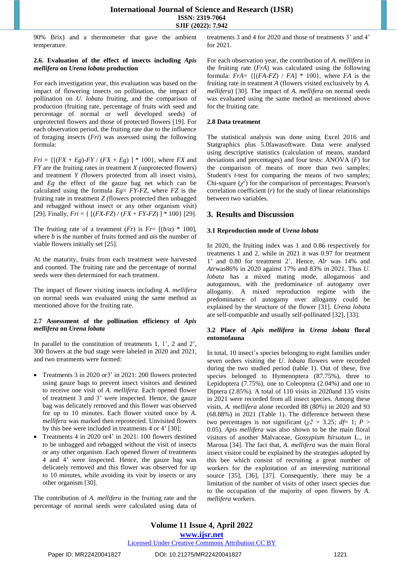90% Brix) and a thermometer that gave the ambient temperature.

#### **2.6. Evaluation of the effect of insects including** *Apis mellifera* **on** *Urena lobata* **production**

For each investigation year, this evaluation was based on the impact of flowering insects on pollination, the impact of pollination on *U. lobata* fruiting, and the comparison of production (fruiting rate, percentage of fruits with seed and percentage of normal or well developed seeds) of unprotected flowers and those of protected flowers [19]. For each observation period, the fruiting rate due to the influence of foraging insects (*Fri*) was assessed using the following formula:

*Fri* = { $[(FX + Eg) - FY / (FX + Eg) ] * 100$ }, where *FX* and *FY* are the fruiting rates in treatment *X (*unprotected flowers) and treatment *Y (*flowers protected from all insect visits), and *Eg* the effect of the gauze bag net which can be calculated using the formula *Eg*= *FY-FZ*, where *FZ* is the fruiting rate in treatment *Z (*flowers protected then unbagged and rebagged without insect or any other organism visit) [29]. Finally,  $Fri = \{ [(FX-FZ) / (FX + FY-FZ) ] * 100 \}$  [29].

The fruiting rate of a treatment  $(Fr)$  is  $Fr = [(b/a) * 100]$ , where *b* is the number of fruits formed and *a*is the number of viable flowers initially set [25].

At the maturity, fruits from each treatment were harvested and counted. The fruiting rate and the percentage of normal seeds were then determined for each treatment.

The impact of flower visiting insects including *A. mellifera* on normal seeds was evaluated using the same method as mentioned above for the fruiting rate.

#### **2.7 Assessment of the pollination efficiency of** *Apis mellifera* **on** *Urena lobata*

In parallel to the constitution of treatments 1, 1', 2 and 2', 300 flowers at the bud stage were labeled in 2020 and 2021, and two treatments were formed:

- Treatments 3 in 2020 or3' in 2021: 200 flowers protected using gauze bags to prevent insect visitors and destined to receive one visit of *A*. *mellifera*. Each opened flower of treatment 3 and 3' were inspected. Hence, the gauze bag was delicately removed and this flower was observed for up to 10 minutes. Each flower visited once by *A*. *mellifera* was marked then reprotected. Unvisited flowers by this bee were included in treatments 4 or 4' [30];
- Treatments 4 in 2020 or4' in 2021: 100 flowers destined to be unbagged and rebagged without the visit of insects or any other organism. Each opened flower of treatments 4 and 4' were inspected. Hence, the gauze bag was delicately removed and this flower was observed for up to 10 minutes, while avoiding its visit by insects or any other organism [30].

The contribution of *A. mellifera* in the fruiting rate and the percentage of normal seeds were calculated using data of treatments 3 and 4 for 2020 and those of treatments 3' and 4' for 2021.

For each observation year, the contribution of *A. mellifera* in the fruiting rate (*FrA*) was calculated using the following formula: *FrA*= {[(*FA*-*FZ*) / *FA*] \* 100}, where *FA* is the fruiting rate in treatment *A* (flowers visited exclusively by *A. mellifera*) [30]. The impact of *A. mellifera* on normal seeds was evaluated using the same method as mentioned above for the fruiting rate.

#### **2.8 Data treatment**

The statistical analysis was done using Excel 2016 and Statgraphics plus 5.0fawasoftware. Data were analysed using descriptive statistics (calculation of means, standard deviations and percentages) and four tests: ANOVA (*F*) for the comparison of means of more than two samples; Student's *t*-test for comparing the means of two samples; Chi-square  $(\chi^2)$  for the comparison of percentages; Pearson's correlation coefficient (*r*) for the study of linear relationships between two variables.

#### **3. Results and Discussion**

#### **3.1 Reproduction mode of** *Urena lobata*

In 2020, the fruiting index was 1 and 0.86 respectively for treatments 1 and 2, while in 2021 it was 0.97 for treatment 1' and 0.80 for treatment 2'. Hence, *Alr* was 14% and *Atr*was86% in 2020 against 17% and 83% in 2021. Thus *U. lobata* has a mixed mating mode, allogamous and autogamous, with the predominance of autogamy over allogamy. A mixed reproduction regime with the predominance of autogamy over allogamy could be explained by the structure of the flower [31]. *Urena lobata* are self-compatible and usually self-pollinated [32], [33].

#### **3.2 Place of** *Apis mellifera* **in** *Urena lobata* **floral entomofauna**

In total, 10 insect's species belonging to eight families under seven orders visiting the *U*. *lobata* flowers were recorded during the two studied period (table 1). Out of these, five species belonged to Hymenoptera (87.75%), three to Lepidoptera (7.75%), one to Coleoptera (2.04%) and one to Diptera (2.85%). A total of 110 visits in 2020and 135 visits in 2021 were recorded from all insect species. Among these visits, *A. mellifera* alone recorded 88 (80%) in 2020 and 93 (68.88%) in 2021 (Table 1). The difference between these two percentages is not significant ( $\chi$ 2 = 3.25; *df*= 1; *P* > 0.05). *Apis mellifera* was also shown to be the main floral visitors of another Malvaceae, *Gossypium hirsutum* L., in Maroua [34]. The fact that, *A. mellifera* was the main floral insect visitor could be explained by the strategies adopted by this bee which consist of recruiting a great number of workers for the exploitation of an interesting nutritional source [35], [36], [37]. Consequently, there may be a limitation of the number of visits of other insect species due to the occupation of the majority of open flowers by *A. mellifera* workers.

**Volume 11 Issue 4, April 2022 www.ijsr.net**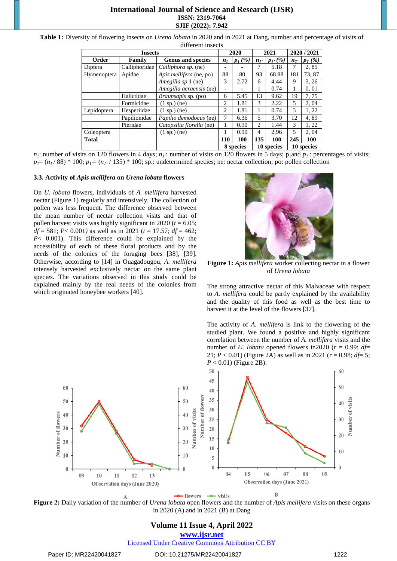# **International Journal of Science and Research (IJSR) ISSN: 2319-7064 SJIF (2022): 7.942**

**Table 1:** Diversity of flowering insects on *Urena lobata* in 2020 and in 2021 at Dang, number and percentage of visits of different insects

|              | 2020          |                            | 2021                     |           | 2020 / 2021                 |                  |            |           |  |
|--------------|---------------|----------------------------|--------------------------|-----------|-----------------------------|------------------|------------|-----------|--|
| Order        | Family        | <b>Genus and species</b>   | $n_{I}$                  | $p_1(\%)$ | $n_{I}$                     | $p_{1}$ , $(\%)$ | $n_T$      | $p_T(\%)$ |  |
| Diptera      | Calliphoridae | Calliphora sp. (ne)        | $\overline{\phantom{0}}$ |           |                             | 5.18             | 7          | 2,85      |  |
| Hymenoptera  | Apidae        | Apis mellifera (ne, po)    | 88                       | 80        | 93                          | 68.88            | 181        | 73,87     |  |
|              |               | Amegilla sp.1 (ne)         | 3                        | 2.72      | 6                           | 4.44             | 9          | 3, 26     |  |
|              |               | Amegilla acraensis (ne)    | ۰                        |           |                             | 0.74             |            | 0,01      |  |
|              | Halictidae    | <i>Braunsapis</i> sp. (po) | 6                        | 5.45      | 13                          | 9.62             | 19         | 7,75      |  |
|              | Formicidae    | $(1 \text{ sp.})$ (ne)     | 2                        | 1.81      | 3                           | 2.22             | 5          | 2, 04     |  |
| Lepidoptera  | Hesperiidae   | $(1 \text{ sp.})$ (ne)     | 2                        | 1.81      |                             | 0.74             | 3          | 1, 22     |  |
|              | Papilionidae  | Papilio demodocus (ne)     |                          | 6.36      | 5                           | 3.70             | 12         | 4,89      |  |
|              | Pieridae      | Catopsilia florella (ne)   |                          | 0.90      | $\mathcal{D}_{\mathcal{L}}$ | 1.44             | 3          | 1, 22     |  |
| Coleoptera   |               | $(1 \text{ sp.})$ (ne)     |                          | 0.90      | 4                           | 2.96             | 5          | 2, 04     |  |
| <b>Total</b> |               |                            | <b>110</b>               | 100       | 135                         | <b>100</b>       | 245        | 100       |  |
|              |               |                            | 8 species                |           |                             | 10 species       | 10 species |           |  |

 $n<sub>I</sub>$ : number of visits on 120 flowers in 4 days;  $n<sub>I</sub>$ : number of visits on 120 flowers in 5 days;  $p<sub>I</sub>$  and  $p<sub>I</sub>$ : percentages of visits;  $p_1 = (n_1/88) * 100$ ;  $p_1 = (n_1/135) * 100$ ; sp.: undetermined species; ne: nectar collection; po: pollen collection

#### **3.3. Activity of** *Apis mellifera* **on** *Urena lobata* **flowers**

On *U. lobata* flowers, individuals of *A. mellifera* harvested nectar (Figure 1) regularly and intensively. The collection of pollen was less frequent. The difference observed between the mean number of nectar collection visits and that of pollen harvest visits was highly significant in 2020 ( $t = 6.05$ ; *df* = 581; *P*< 0.001*)* as well as in 2021 (*t* = 17.57; *df* = 462; *P*< 0.001). This difference could be explained by the accessibility of each of these floral products and by the needs of the colonies of the foraging bees [38], [39]. Otherwise, according to [14] in Ouagadougou, *A. mellifera* intensely harvested exclusively nectar on the same plant species. The variations observed in this study could be explained mainly by the real needs of the colonies from which originated honeybee workers [40].



**Figure 1:** *Apis mellifera* worker collecting nectar in a flower of *Urena lobata*

The strong attractive nectar of this Malvaceae with respect to *A. mellifera* could be partly explained by the availability and the quality of this food as well as the best time to harvest it at the level of the flowers [37].

The activity of *A. mellifera* is link to the flowering of the studied plant. We found a positive and highly significant correlation between the number of *A. mellifera* visits and the number of *U. lobata* opened flowers in 2020 ( $r = 0.99$ ; *df*= 21;  $P < 0.01$ ) (Figure 2A) as well as in 2021 ( $r = 0.98$ ;  $d\dot{f} = 5$ ; *P* < 0.01) (Figure 2B).



**Figure 2:** Daily variation of the number of *Urena lobata* open flowers and the number of *Apis mellifera* visits on these organs in 2020 (A) and in 2021 (B) at Dang

# **Volume 11 Issue 4, April 2022 www.ijsr.net**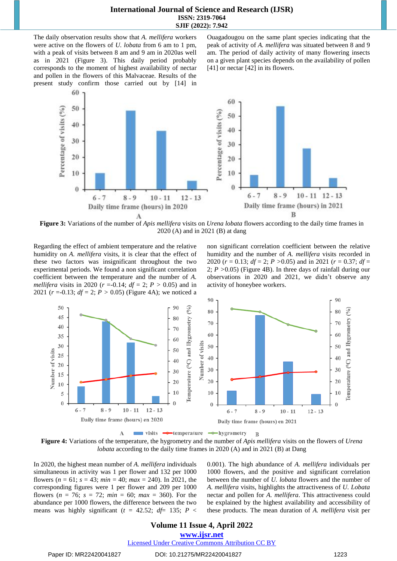The daily observation results show that *A. mellifera* workers were active on the flowers of *U. lobata* from 6 am to 1 pm, with a peak of visits between 8 am and 9 am in 2020as well as in 2021 (Figure 3). This daily period probably corresponds to the moment of highest availability of nectar and pollen in the flowers of this Malvaceae. Results of the present study confirm those carried out by [14] in Ouagadougou on the same plant species indicating that the peak of activity of *A. mellifera* was situated between 8 and 9 am. The period of daily activity of many flowering insects on a given plant species depends on the availability of pollen [41] or nectar [42] in its flowers.



**Figure 3:** Variations of the number of *Apis mellifera* visits on *Urena lobata* flowers according to the daily time frames in 2020 (A) and in 2021 (B) at dang

Regarding the effect of ambient temperature and the relative humidity on *A. mellifera* visits, it is clear that the effect of these two factors was insignificant throughout the two experimental periods. We found a non significant correlation coefficient between the temperature and the number of *A. mellifera* visits in 2020 ( $r = -0.14$ ;  $df = 2$ ;  $P > 0.05$ ) and in 2021 ( $r = -0.13$ ;  $df = 2$ ;  $P > 0.05$ ) (Figure 4A); we noticed a non significant correlation coefficient between the relative humidity and the number of *A. mellifera* visits recorded in 2020 (*r* = 0.13; *df* = 2; *P >*0.05) and in 2021 (*r* = 0.37; *df* = 2; *P >*0.05) (Figure 4B). In three days of rainfall during our observations in 2020 and 2021, we didn't observe any activity of honeybee workers.





In 2020, the highest mean number of *A. mellifera* individuals simultaneous in activity was 1 per flower and 132 per 1000 flowers ( $n = 61$ ;  $s = 43$ ;  $min = 40$ ;  $max = 240$ ). In 2021, the corresponding figures were 1 per flower and 209 per 1000 flowers ( $n = 76$ ;  $s = 72$ ;  $min = 60$ ;  $max = 360$ ). For the abundance per 1000 flowers, the difference between the two means was highly significant ( $t = 42.52$ ;  $df = 135$ ;  $P <$ 

0.001). The high abundance of *A. mellifera* individuals per 1000 flowers, and the positive and significant correlation between the number of *U. lobata* flowers and the number of *A. mellifera* visits, highlights the attractiveness of *U. Lobata* nectar and pollen for *A. mellifera*. This attractiveness could be explained by the highest availability and accessibility of these products. The mean duration of *A. mellifera* visit per

# **Volume 11 Issue 4, April 2022**

**www.ijsr.net**

Licensed Under Creative Commons Attribution CC BY

Paper ID: MR22420041827 DOI: 10.21275/MR22420041827 1223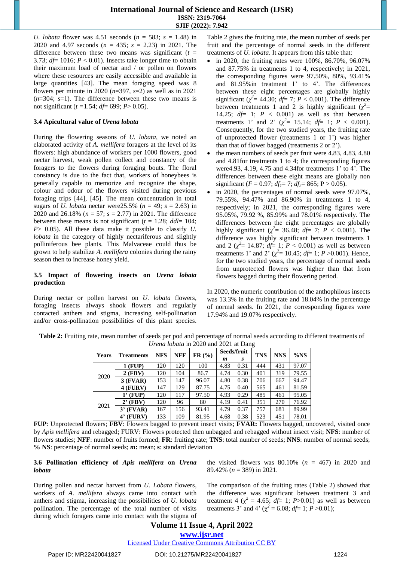*U. lobata* flower was 4.51 seconds (*n* = 583; *s* = 1.48) in 2020 and 4.97 seconds (*n* = 435; *s* = 2.23) in 2021. The difference between these two means was significant  $(t =$ 3.73;  $df = 1016$ ;  $P < 0.01$ ). Insects take longer time to obtain their maximum load of nectar and / or pollen on flowers where these resources are easily accessible and available in large quantities [43]. The mean foraging speed was 8 flowers per minute in 2020 (*n*=397, *s*=2) as well as in 2021 (*n*=304; *s*=1). The difference between these two means is not significant (*t =*1.54; *df*= 699; *P*> 0.05).

#### **3.4 Apicultural value of** *Urena lobata*

During the flowering seasons of *U. lobata*, we noted an elaborated activity of *A. mellifera* foragers at the level of its flowers: high abundance of workers per 1000 flowers, good nectar harvest, weak pollen collect and constancy of the foragers to the flowers during foraging bouts. The floral constancy is due to the fact that, workers of honeybees is generally capable to memorize and recognize the shape, colour and odour of the flowers visited during previous foraging trips [44], [45]. The mean concentration in total sugars of *U. lobata* nectar were25.5% (*n* = 49; *s* = 2.63) in 2020 and 26.18% (*n* = 57; *s* = 2.77) in 2021. The difference between these means is not significant  $(t = 1.28;$   $ddl = 104;$ *P*> 0.05). All these data make it possible to classify *U. lobata* in the category of highly nectariferous and slightly polliniferous bee plants. This Malvaceae could thus be grown to help stabilize *A. mellifera* colonies during the rainy season then to increase honey yield.

#### **3.5 Impact of flowering insects on** *Urena lobata* **production**

During nectar or pollen harvest on *U. lobata* flowers, foraging insects always shook flowers and regularly contacted anthers and stigma, increasing self-pollination and/or cross-pollination possibilities of this plant species.

Table 2 gives the fruiting rate, the mean number of seeds per fruit and the percentage of normal seeds in the different treatments of *U. lobata*. It appears from this table that:

- in 2020, the fruiting rates were 100%, 86.70%, 96.07% and 87.75% in treatments 1 to 4, respectively; in 2021, the corresponding figures were 97.50%, 80%, 93.41% and 81.95%in treatment 1' to 4'. The differences between these eight percentages are globally highly significant ( $\chi^2$  = 44.30; *df* = 7; *P* < 0.001). The difference between treatments 1 and 2 is highly significant  $(\chi^2$ 14.25;  $df= 1$ ;  $P < 0.001$ ) as well as that between treatments 1' and 2' ( $\chi^2 = 15.14$ ;  $df = 1$ ;  $P < 0.001$ ). Consequently, for the two studied years, the fruiting rate of unprotected flower (treatments 1 or 1') was higher than that of flower bagged (treatments 2 or 2').
- the mean numbers of seeds per fruit were 4.83, 4.83, 4.80 and 4.81for treatments 1 to 4; the corresponding figures were4.93, 4.19, 4.75 and 4.34for treatments 1' to 4'. The differences between these eight means are globally non significant ( $F = 0.97$ ;  $df_1 = 7$ ;  $df_2 = 865$ ;  $P > 0.05$ ).
- in 2020, the percentages of normal seeds were 97.07%, 79.55%, 94.47% and 86.90% in treatments 1 to 4, respectively; in 2021, the corresponding figures were 95.05%, 79.92 %, 85.99% and 78.01% respectively. The differences between the eight percentages are globally highly significant ( $\chi^2$  = 36.48; *df* = 7; *P* < 0.001). The difference was highly significant between treatments 1 and 2  $(\chi^2 = 14.87; df = 1; P < 0.001)$  as well as between treatments 1' and 2'  $(\chi^2 = 10.45; df = 1; P > 0.001)$ . Hence, for the two studied years, the percentage of normal seeds from unprotected flowers was higher than that from flowers bagged during their flowering period.

In 2020, the numeric contribution of the anthophilous insects was 13.3% in the fruiting rate and 18.04% in the percentage of normal seeds. In 2021, the corresponding figures were 17.94% and 19.07% respectively.

| Table 2: Fruiting rate, mean number of seeds per pod and percentage of normal seeds according to different treatments of |  |  | <i>Urena lobata</i> in 2020 and 2021 at Dang |  |  |  |
|--------------------------------------------------------------------------------------------------------------------------|--|--|----------------------------------------------|--|--|--|
|                                                                                                                          |  |  | Soods/fruit                                  |  |  |  |

| <b>Years</b> | <b>Treatments</b> | <b>NFS</b> | <b>NFF</b> | FR (%) | Seeds/fruit |      | <b>TNS</b> | <b>NNS</b> | %NS   |
|--------------|-------------------|------------|------------|--------|-------------|------|------------|------------|-------|
|              |                   |            |            |        | m           | S    |            |            |       |
| 2020         | 1 (FUP)           | 120        | 120        | 100    | 4.83        | 0.31 | 444        | 431        | 97.07 |
|              | $2$ (FBV)         | 120        | 104        | 86.7   | 4.74        | 0.30 | 401        | 319        | 79.55 |
|              | $3$ (FVAR)        | 153        | 147        | 96.07  | 4.80        | 0.38 | 706        | 667        | 94.47 |
|              | $4$ (FURV)        | 147        | 129        | 87.75  | 4.75        | 0.40 | 565        | 461        | 81.59 |
| 2021         | (FUP)<br>ı,       | 120        | 117        | 97.50  | 4.93        | 0.29 | 485        | 461        | 95.05 |
|              | (FBV)<br>2'       | 120        | 96         | 80     | 4.19        | 0.41 | 351        | 270        | 76.92 |
|              | (FVAR)<br>3,      | 167        | 156        | 93.41  | 4.79        | 0.37 | 757        | 681        | 89.99 |
|              | (FURV)            | 133        | 109        | 81.95  | 4.68        | 0.38 | 523        | 451        | 78.01 |

**FUP**: Unprotected flowers; **FBV**: Flowers bagged to prevent insect visits; **FVAR:** Flowers bagged, uncovered, visited once by *Apis mellifera* and rebagged; FURV: Flowers protected then unbagged and rebagged without insect visit; **NFS**: number of flowers studies; **NFF**: number of fruits formed; **FR**: fruiting rate; **TNS**: total number of seeds; **NNS**: number of normal seeds; **% NS**: percentage of normal seeds; *m***:** mean; **s**: standard deviation

#### **3.6 Pollination efficiency of** *Apis mellifera* **on** *Urena lobata*

During pollen and nectar harvest from *U. Lobata* flowers, workers of *A. mellifera* always came into contact with anthers and stigma, increasing the possibilities of *U. lobata* pollination. The percentage of the total number of visits during which foragers came into contact with the stigma of the visited flowers was  $80.10\%$  ( $n = 467$ ) in 2020 and 89.42% (*n* = 389) in 2021.

The comparison of the fruiting rates (Table 2) showed that the difference was significant between treatment 3 and treatment 4 ( $\chi^2 = 4.65$ ; *df*= 1; *P*>0.01) as well as between treatments 3' and 4' ( $\chi^2$  = 6.08; *df*= 1; *P* >0.01);

**www.ijsr.net**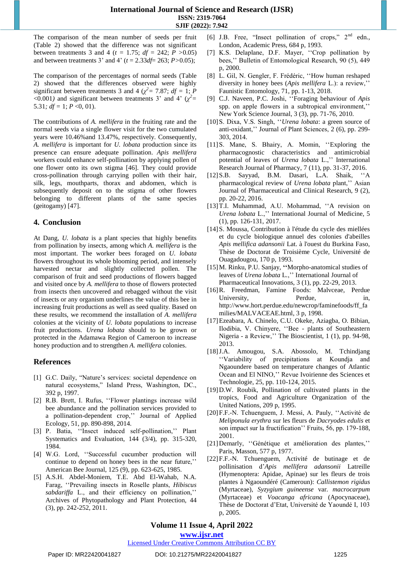The comparison of the mean number of seeds per fruit (Table 2) showed that the difference was not significant between treatments 3 and 4 ( $t = 1.75$ ;  $df = 242$ ;  $P > 0.05$ ) and between treatments 3' and 4' (*t* = 2.33*df*= 263; *P>*0.05);

The comparison of the percentages of normal seeds (Table 2) showed that the differences observed were highly significant between treatments 3 and 4 ( $\chi^2$  = 7.87; *df* = 1; *P*  $\langle 0.001 \rangle$  and significant between treatments 3' and 4' ( $\chi^2$ = 5.31;  $df = 1$ ;  $P < 0$ , 01).

The contributions of *A. mellifera* in the fruiting rate and the normal seeds via a single flower visit for the two cumulated years were 10.46%and 13.47%, respectively. Consequently, *A. mellifera* is important for *U. lobata* production since its presence can ensure adequate pollination. *Apis mellifera* workers could enhance self-pollination by applying pollen of one flower onto its own stigma [46]. They could provide cross-pollination through carrying pollen with their hair, silk, legs, mouthparts, thorax and abdomen, which is subsequently deposit on to the stigma of other flowers belonging to different plants of the same species (geitogamy) [47].

# **4. Conclusion**

At Dang, *U. lobata* is a plant species that highly benefits from pollination by insects, among which *A. mellifera* is the most important. The worker bees foraged on *U. lobata* flowers throughout its whole blooming period, and intensely harvested nectar and slightly collected pollen. The comparison of fruit and seed productions of flowers bagged and visited once by *A. mellifera* to those of flowers protected from insects then uncovered and rebagged without the visit of insects or any organism underlines the value of this bee in increasing fruit productions as well as seed quality. Based on these results, we recommend the installation of *A. mellifera* colonies at the vicinity of *U. lobata* populations to increase fruit productions. *Urena lobata* should to be grown or protected in the Adamawa Region of Cameroon to increase honey production and to strengthen *A. mellifera* colonies.

# **References**

- [1] G.C. Daily, "Nature's services: societal dependence on natural ecosystems," Island Press, Washington, DC., 392 p, 1997.
- [2] R.B. Brett, I. Rufus, ''Flower plantings increase wild bee abundance and the pollination services provided to a pollination-dependent crop,'' Journal of Applied Ecology, 51, pp. 890-898, 2014.
- [3] P. Batia, ''Insect induced self-pollination,'' Plant Systematics and Evaluation, 144 (3/4), pp. 315-320, 1984.
- [4] W.G. Lord, ''Successful cucumber production will continue to depend on honey bees in the near future,'' American Bee Journal, 125 (9), pp. 623-625, 1985.
- [5] A.S.H. Abdel-Moniem, T.E. Abd El-Wahab, N.A. Farag, ''Prevailing insects in Roselle plants, *Hibiscus*  sabdariffa L., and their efficiency on pollination," Archives of Phytopathology and Plant Protection, 44 (3), pp. 242-252, 2011.
- [6] J.B. Free, "Insect pollination of crops," 2<sup>nd</sup> edn., London, Academic Press, 684 p, 1993.
- [7] K.S. Delaplane, D.F. Mayer, ''Crop pollination by bees,'' Bulletin of Entomological Research, 90 (5), 449 p, 2000.
- [8] L. Gil, N. Gengler, F. Frédéric, ''How human reshaped diversity in honey bees (*Apis mellifera* L.): a review,'' Faunistic Entomology, 71, pp. 1-13, 2018.
- [9] C.J. Naveen, P.C. Joshi, ''Foraging behaviour of *Apis* spp. on apple flowers in a subtropical environment,'' New York Science Journal, 3 (3), pp. 71-76, 2010.
- [10]S. Dixa, V.S. Singh, ''*Urena lobata*: a green source of anti-oxidant,'' Journal of Plant Sciences, 2 (6), pp. 299- 303, 2014.
- [11]S. Mane, S. Bhairy, A. Momin, ''Exploring the pharmacognostic characteristics and antimicrobial potential of leaves of *Urena lobata* L.,'' International Research Journal of Pharmacy, 7 (11), pp. 31-37, 2016.
- [12]S.B. Sayyad, B.M. Dasari, L**.**A. Shaik, ''A pharmacological review of *Urena lobata* plant,'' Asian Journal of Pharmaceutical and Clinical Research, 9 (2), pp. 20-22, 2016.
- [13]T.I. Muhammad, A.U. Mohammad, ''A revision on *Urena lobata* L.,'' International Journal of Medicine, 5 (1), pp. 126-131, 2017.
- [14]S. Moussa, Contribution à l'étude du cycle des miellées et du cycle biologique annuel des colonies d'abeilles *Apis mellifica adansonii* Lat. à l'ouest du Burkina Faso, Thèse de Doctorat de Troisième Cycle, Université de Ouagadougou, 170 p, 1993.
- [15]M. Rinku, P.U. Sanjay, **''**Morpho-anatomical studies of leaves of *Urena lobata* L*.*,'' International Journal of Pharmaceutical Innovations, 3 (1), pp. 22-29, 2013.
- [16]R. Freedman, Famine Foods: Malvceae, Perdue University, Perdue, in, [http://www.hort.perdue.edu/newcrop/faminefoods/ff\\_fa](http://www.hort.perdue.edu/newcrop/faminefoods/ff_families/MALVACEAE.html) [milies/MALVACEAE.html,](http://www.hort.perdue.edu/newcrop/faminefoods/ff_families/MALVACEAE.html) 3 p, 1998.
- [17]Ezeabara, A. Chinelo, C.U. Okeke, Aziagba, O. Bibian, Ilodibia, V. Chinyere, ''Bee - plants of Southeastern Nigeria - a Review,'' The Bioscientist, 1 (1), pp. 94-98, 2013.
- [18]J.A. Amougou, S.A. Abossolo, M. Tchindjang ''Variability of precipitations at Koundja and Ngaoundere based on temperature changes of Atlantic Ocean and El NINO,'' Revue Ivoirienne des Sciences et Technologie, 25, pp. 110-124, 2015.
- [19]D.W. Roubik, Pollination of cultivated plants in the tropics, Food and Agriculture Organization of the United Nations, 209 p, 1995.
- [20]F.F.-N. Tchuenguem, J. Messi, A. Pauly, ''Activité de *Meliponula erythra* sur les fleurs de *Dacryodes edulis* et son impact sur la fructification'' Fruits, 56, pp. 179-188, 2001.
- [21]Demarly, ''Génétique et amélioration des plantes,'' Paris, Masson, 577 p, 1977.
- [22]F.F.-N. Tchuenguem, Activité de butinage et de pollinisation d'*Apis mellifera adansonii* Latreille (Hymenoptera: Apidae, Apinae) sur les fleurs de trois plantes à Ngaoundéré (Cameroun): *Callistemon rigidus*  (Myrtaceae), *Syzygium guineense* var*. macrocarpum*  (Myrtaceae) et *Voacanga africana* (Apocynaceae), Thèse de Doctorat d'Etat, Université de Yaoundé I, 103 p, 2005.

# **Volume 11 Issue 4, April 2022**

**www.ijsr.net**